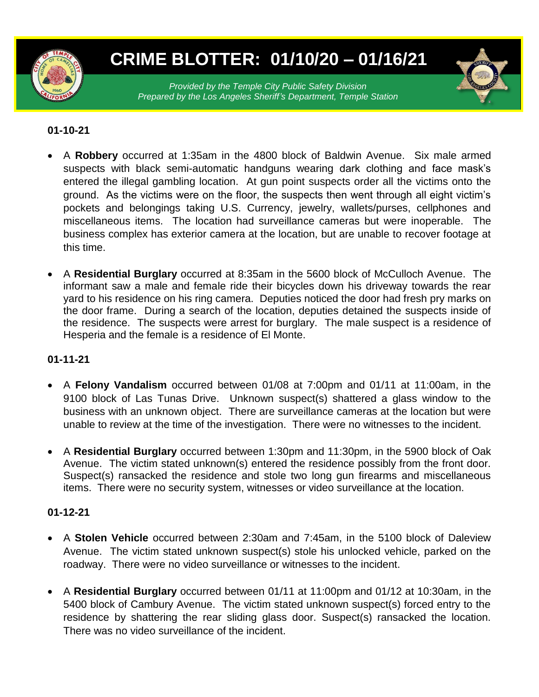

# **CRIME BLOTTER: 01/10/20 – 01/16/21**

*Provided by the Temple City Public Safety Division Prepared by the Los Angeles Sheriff's Department, Temple Station*

## **01-10-21**

- A **Robbery** occurred at 1:35am in the 4800 block of Baldwin Avenue. Six male armed suspects with black semi-automatic handguns wearing dark clothing and face mask's entered the illegal gambling location. At gun point suspects order all the victims onto the ground. As the victims were on the floor, the suspects then went through all eight victim's pockets and belongings taking U.S. Currency, jewelry, wallets/purses, cellphones and miscellaneous items. The location had surveillance cameras but were inoperable. The business complex has exterior camera at the location, but are unable to recover footage at this time.
- A **Residential Burglary** occurred at 8:35am in the 5600 block of McCulloch Avenue. The informant saw a male and female ride their bicycles down his driveway towards the rear yard to his residence on his ring camera. Deputies noticed the door had fresh pry marks on the door frame. During a search of the location, deputies detained the suspects inside of the residence. The suspects were arrest for burglary. The male suspect is a residence of Hesperia and the female is a residence of El Monte.

### **01-11-21**

- A **Felony Vandalism** occurred between 01/08 at 7:00pm and 01/11 at 11:00am, in the 9100 block of Las Tunas Drive. Unknown suspect(s) shattered a glass window to the business with an unknown object. There are surveillance cameras at the location but were unable to review at the time of the investigation. There were no witnesses to the incident.
- A **Residential Burglary** occurred between 1:30pm and 11:30pm, in the 5900 block of Oak Avenue. The victim stated unknown(s) entered the residence possibly from the front door. Suspect(s) ransacked the residence and stole two long gun firearms and miscellaneous items. There were no security system, witnesses or video surveillance at the location.

### **01-12-21**

- A **Stolen Vehicle** occurred between 2:30am and 7:45am, in the 5100 block of Daleview Avenue. The victim stated unknown suspect(s) stole his unlocked vehicle, parked on the roadway. There were no video surveillance or witnesses to the incident.
- A **Residential Burglary** occurred between 01/11 at 11:00pm and 01/12 at 10:30am, in the 5400 block of Cambury Avenue. The victim stated unknown suspect(s) forced entry to the residence by shattering the rear sliding glass door. Suspect(s) ransacked the location. There was no video surveillance of the incident.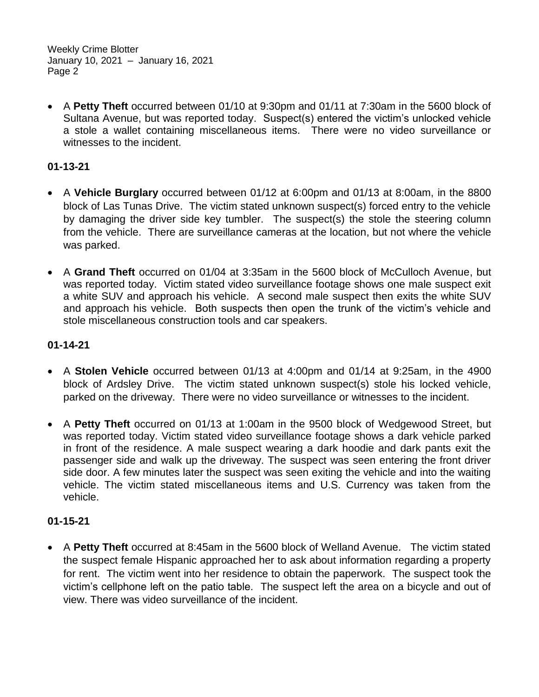Weekly Crime Blotter January 10, 2021 – January 16, 2021 Page 2

 A **Petty Theft** occurred between 01/10 at 9:30pm and 01/11 at 7:30am in the 5600 block of Sultana Avenue, but was reported today. Suspect(s) entered the victim's unlocked vehicle a stole a wallet containing miscellaneous items. There were no video surveillance or witnesses to the incident.

## **01-13-21**

- A **Vehicle Burglary** occurred between 01/12 at 6:00pm and 01/13 at 8:00am, in the 8800 block of Las Tunas Drive. The victim stated unknown suspect(s) forced entry to the vehicle by damaging the driver side key tumbler. The suspect(s) the stole the steering column from the vehicle. There are surveillance cameras at the location, but not where the vehicle was parked.
- A **Grand Theft** occurred on 01/04 at 3:35am in the 5600 block of McCulloch Avenue, but was reported today. Victim stated video surveillance footage shows one male suspect exit a white SUV and approach his vehicle. A second male suspect then exits the white SUV and approach his vehicle. Both suspects then open the trunk of the victim's vehicle and stole miscellaneous construction tools and car speakers.

## **01-14-21**

- A **Stolen Vehicle** occurred between 01/13 at 4:00pm and 01/14 at 9:25am, in the 4900 block of Ardsley Drive. The victim stated unknown suspect(s) stole his locked vehicle, parked on the driveway. There were no video surveillance or witnesses to the incident.
- A **Petty Theft** occurred on 01/13 at 1:00am in the 9500 block of Wedgewood Street, but was reported today. Victim stated video surveillance footage shows a dark vehicle parked in front of the residence. A male suspect wearing a dark hoodie and dark pants exit the passenger side and walk up the driveway. The suspect was seen entering the front driver side door. A few minutes later the suspect was seen exiting the vehicle and into the waiting vehicle. The victim stated miscellaneous items and U.S. Currency was taken from the vehicle.

# **01-15-21**

 A **Petty Theft** occurred at 8:45am in the 5600 block of Welland Avenue. The victim stated the suspect female Hispanic approached her to ask about information regarding a property for rent. The victim went into her residence to obtain the paperwork. The suspect took the victim's cellphone left on the patio table. The suspect left the area on a bicycle and out of view. There was video surveillance of the incident.